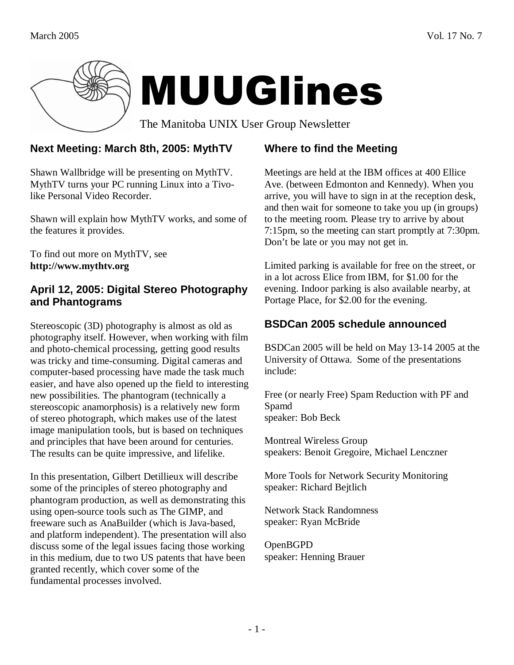

## **Next Meeting: March 8th, 2005: MythTV**

Shawn Wallbridge will be presenting on MythTV. MythTV turns your PC running Linux into a Tivolike Personal Video Recorder.

Shawn will explain how MythTV works, and some of the features it provides.

To find out more on MythTV, see **http://www.mythtv.org** 

#### **April 12, 2005: Digital Stereo Photography and Phantograms**

Stereoscopic (3D) photography is almost as old as photography itself. However, when working with film and photo-chemical processing, getting good results was tricky and time-consuming. Digital cameras and computer-based processing have made the task much easier, and have also opened up the field to interesting new possibilities. The phantogram (technically a stereoscopic anamorphosis) is a relatively new form of stereo photograph, which makes use of the latest image manipulation tools, but is based on techniques and principles that have been around for centuries. The results can be quite impressive, and lifelike.

In this presentation, Gilbert Detillieux will describe some of the principles of stereo photography and phantogram production, as well as demonstrating this using open-source tools such as The GIMP, and freeware such as AnaBuilder (which is Java-based, and platform independent). The presentation will also discuss some of the legal issues facing those working in this medium, due to two US patents that have been granted recently, which cover some of the fundamental processes involved.

# **Where to find the Meeting**

Meetings are held at the IBM offices at 400 Ellice Ave. (between Edmonton and Kennedy). When you arrive, you will have to sign in at the reception desk, and then wait for someone to take you up (in groups) to the meeting room. Please try to arrive by about 7:15pm, so the meeting can start promptly at 7:30pm. Don't be late or you may not get in.

Limited parking is available for free on the street, or in a lot across Elice from IBM, for \$1.00 for the evening. Indoor parking is also available nearby, at Portage Place, for \$2.00 for the evening.

## **BSDCan 2005 schedule announced**

BSDCan 2005 will be held on May 13-14 2005 at the University of Ottawa. Some of the presentations include:

Free (or nearly Free) Spam Reduction with PF and Spamd speaker: Bob Beck

Montreal Wireless Group speakers: Benoit Gregoire, Michael Lenczner

More Tools for Network Security Monitoring speaker: Richard Bejtlich

Network Stack Randomness speaker: Ryan McBride

OpenBGPD speaker: Henning Brauer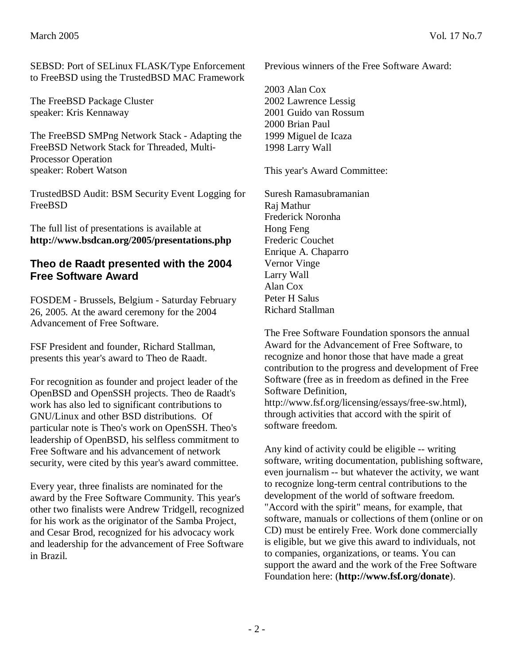SEBSD: Port of SELinux FLASK/Type Enforcement to FreeBSD using the TrustedBSD MAC Framework

The FreeBSD Package Cluster speaker: Kris Kennaway

The FreeBSD SMPng Network Stack - Adapting the FreeBSD Network Stack for Threaded, Multi-Processor Operation speaker: Robert Watson

TrustedBSD Audit: BSM Security Event Logging for FreeBSD

The full list of presentations is available at **http://www.bsdcan.org/2005/presentations.php**

#### **Theo de Raadt presented with the 2004 Free Software Award**

FOSDEM - Brussels, Belgium - Saturday February 26, 2005. At the award ceremony for the 2004 Advancement of Free Software.

FSF President and founder, Richard Stallman, presents this year's award to Theo de Raadt.

For recognition as founder and project leader of the OpenBSD and OpenSSH projects. Theo de Raadt's work has also led to significant contributions to GNU/Linux and other BSD distributions. Of particular note is Theo's work on OpenSSH. Theo's leadership of OpenBSD, his selfless commitment to Free Software and his advancement of network security, were cited by this year's award committee.

Every year, three finalists are nominated for the award by the Free Software Community. This year's other two finalists were Andrew Tridgell, recognized for his work as the originator of the Samba Project, and Cesar Brod, recognized for his advocacy work and leadership for the advancement of Free Software in Brazil.

Previous winners of the Free Software Award:

2003 Alan Cox 2002 Lawrence Lessig 2001 Guido van Rossum 2000 Brian Paul 1999 Miguel de Icaza 1998 Larry Wall

This year's Award Committee:

Suresh Ramasubramanian Raj Mathur Frederick Noronha Hong Feng Frederic Couchet Enrique A. Chaparro Vernor Vinge Larry Wall Alan Cox Peter H Salus Richard Stallman

The Free Software Foundation sponsors the annual Award for the Advancement of Free Software, to recognize and honor those that have made a great contribution to the progress and development of Free Software (free as in freedom as defined in the Free Software Definition,

http://www.fsf.org/licensing/essays/free-sw.html), through activities that accord with the spirit of software freedom.

Any kind of activity could be eligible -- writing software, writing documentation, publishing software, even journalism -- but whatever the activity, we want to recognize long-term central contributions to the development of the world of software freedom. "Accord with the spirit" means, for example, that software, manuals or collections of them (online or on CD) must be entirely Free. Work done commercially is eligible, but we give this award to individuals, not to companies, organizations, or teams. You can support the award and the work of the Free Software Foundation here: (**http://www.fsf.org/donate**).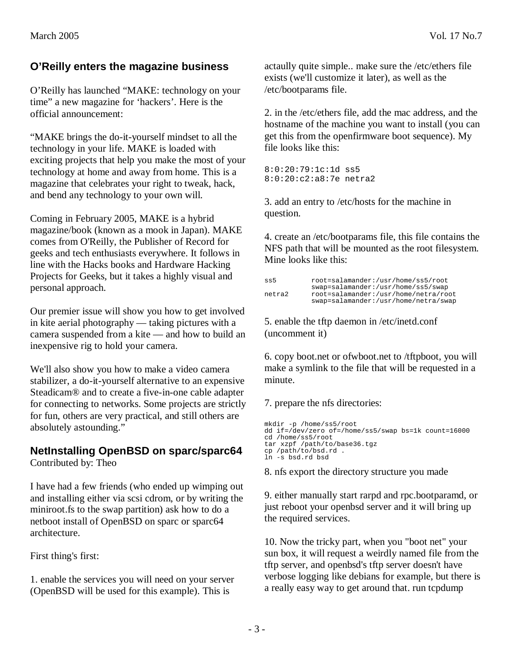## **O'Reilly enters the magazine business**

O'Reilly has launched "MAKE: technology on your time" a new magazine for 'hackers'. Here is the official announcement:

"MAKE brings the do-it-yourself mindset to all the technology in your life. MAKE is loaded with exciting projects that help you make the most of your technology at home and away from home. This is a magazine that celebrates your right to tweak, hack, and bend any technology to your own will.

Coming in February 2005, MAKE is a hybrid magazine/book (known as a mook in Japan). MAKE comes from O'Reilly, the Publisher of Record for geeks and tech enthusiasts everywhere. It follows in line with the Hacks books and Hardware Hacking Projects for Geeks, but it takes a highly visual and personal approach.

Our premier issue will show you how to get involved in kite aerial photography — taking pictures with a camera suspended from a kite — and how to build an inexpensive rig to hold your camera.

We'll also show you how to make a video camera stabilizer, a do-it-yourself alternative to an expensive Steadicam® and to create a five-in-one cable adapter for connecting to networks. Some projects are strictly for fun, others are very practical, and still others are absolutely astounding."

### **NetInstalling OpenBSD on sparc/sparc64**

Contributed by: Theo

I have had a few friends (who ended up wimping out and installing either via scsi cdrom, or by writing the miniroot.fs to the swap partition) ask how to do a netboot install of OpenBSD on sparc or sparc64 architecture.

First thing's first:

1. enable the services you will need on your server (OpenBSD will be used for this example). This is

actaully quite simple.. make sure the /etc/ethers file exists (we'll customize it later), as well as the /etc/bootparams file.

2. in the /etc/ethers file, add the mac address, and the hostname of the machine you want to install (you can get this from the openfirmware boot sequence). My file looks like this:

8:0:20:79:1c:1d ss5 8:0:20:c2:a8:7e netra2

3. add an entry to /etc/hosts for the machine in question.

4. create an /etc/bootparams file, this file contains the NFS path that will be mounted as the root filesystem. Mine looks like this:

```
ss5 root=salamander:/usr/home/ss5/root 
swap=salamander:/usr/home/ss5/swap<br>netra2 root=salamander:/usr/home/netra/ro
              netra2 root=salamander:/usr/home/netra/root 
               swap=salamander:/usr/home/netra/swap
```
5. enable the tftp daemon in /etc/inetd.conf (uncomment it)

6. copy boot.net or ofwboot.net to /tftpboot, you will make a symlink to the file that will be requested in a minute.

7. prepare the nfs directories:

```
mkdir -p /home/ss5/root 
dd if=/dev/zero of=/home/ss5/swap bs=1k count=16000
cd /home/ss5/root 
tar xzpf /path/to/base36.tgz 
cp /path/to/bsd.rd . 
ln -s bsd.rd bsd
```
8. nfs export the directory structure you made

9. either manually start rarpd and rpc.bootparamd, or just reboot your openbsd server and it will bring up the required services.

10. Now the tricky part, when you "boot net" your sun box, it will request a weirdly named file from the tftp server, and openbsd's tftp server doesn't have verbose logging like debians for example, but there is a really easy way to get around that. run tcpdump